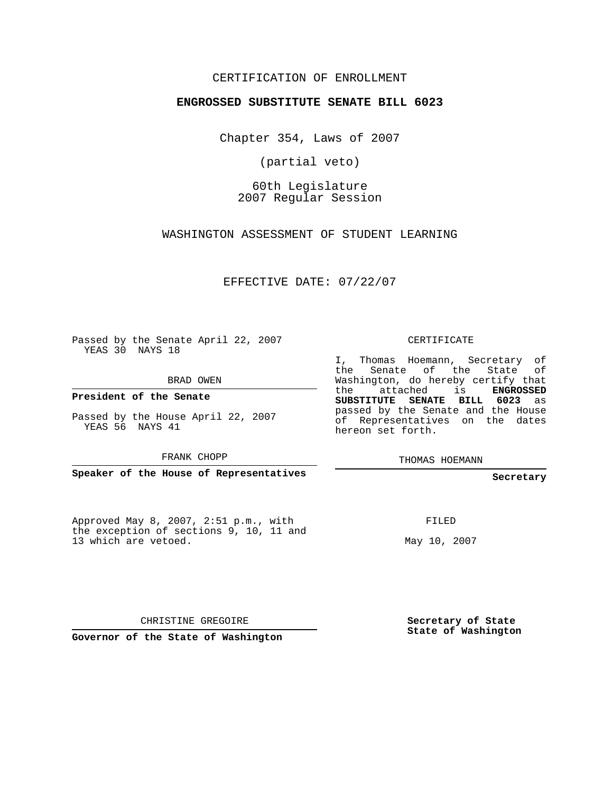## CERTIFICATION OF ENROLLMENT

#### **ENGROSSED SUBSTITUTE SENATE BILL 6023**

Chapter 354, Laws of 2007

(partial veto)

60th Legislature 2007 Regular Session

WASHINGTON ASSESSMENT OF STUDENT LEARNING

EFFECTIVE DATE: 07/22/07

Passed by the Senate April 22, 2007 YEAS 30 NAYS 18

BRAD OWEN

**President of the Senate**

Passed by the House April 22, 2007 YEAS 56 NAYS 41

FRANK CHOPP

**Speaker of the House of Representatives**

Approved May 8, 2007, 2:51 p.m., with the exception of sections 9, 10, 11 and 13 which are vetoed.

CERTIFICATE

I, Thomas Hoemann, Secretary of the Senate of the State of Washington, do hereby certify that the attached is **ENGROSSED SUBSTITUTE SENATE BILL 6023** as passed by the Senate and the House of Representatives on the dates hereon set forth.

THOMAS HOEMANN

**Secretary**

FILED

May 10, 2007

CHRISTINE GREGOIRE

**Governor of the State of Washington**

**Secretary of State State of Washington**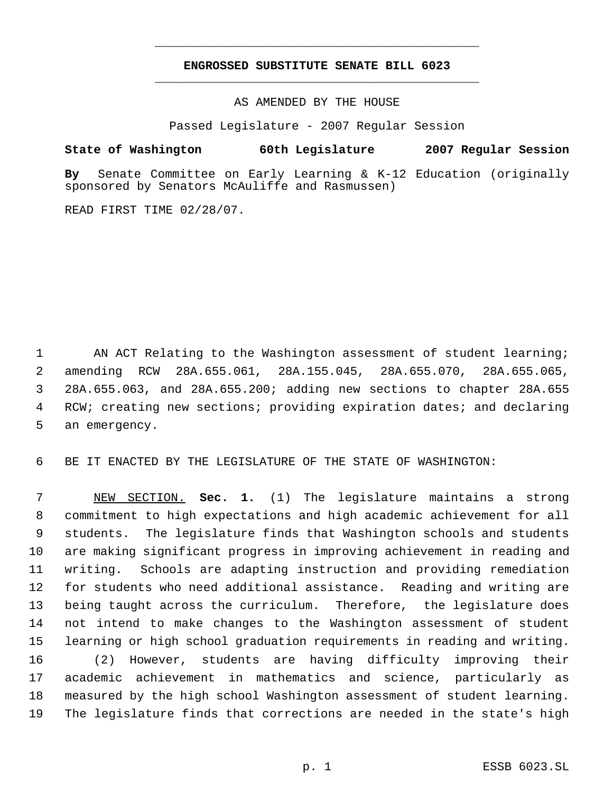# **ENGROSSED SUBSTITUTE SENATE BILL 6023** \_\_\_\_\_\_\_\_\_\_\_\_\_\_\_\_\_\_\_\_\_\_\_\_\_\_\_\_\_\_\_\_\_\_\_\_\_\_\_\_\_\_\_\_\_

\_\_\_\_\_\_\_\_\_\_\_\_\_\_\_\_\_\_\_\_\_\_\_\_\_\_\_\_\_\_\_\_\_\_\_\_\_\_\_\_\_\_\_\_\_

AS AMENDED BY THE HOUSE

Passed Legislature - 2007 Regular Session

## **State of Washington 60th Legislature 2007 Regular Session**

**By** Senate Committee on Early Learning & K-12 Education (originally sponsored by Senators McAuliffe and Rasmussen)

READ FIRST TIME 02/28/07.

1 AN ACT Relating to the Washington assessment of student learning; amending RCW 28A.655.061, 28A.155.045, 28A.655.070, 28A.655.065, 28A.655.063, and 28A.655.200; adding new sections to chapter 28A.655 RCW; creating new sections; providing expiration dates; and declaring an emergency.

BE IT ENACTED BY THE LEGISLATURE OF THE STATE OF WASHINGTON:

 NEW SECTION. **Sec. 1.** (1) The legislature maintains a strong commitment to high expectations and high academic achievement for all students. The legislature finds that Washington schools and students are making significant progress in improving achievement in reading and writing. Schools are adapting instruction and providing remediation for students who need additional assistance. Reading and writing are being taught across the curriculum. Therefore, the legislature does not intend to make changes to the Washington assessment of student learning or high school graduation requirements in reading and writing. (2) However, students are having difficulty improving their academic achievement in mathematics and science, particularly as measured by the high school Washington assessment of student learning. The legislature finds that corrections are needed in the state's high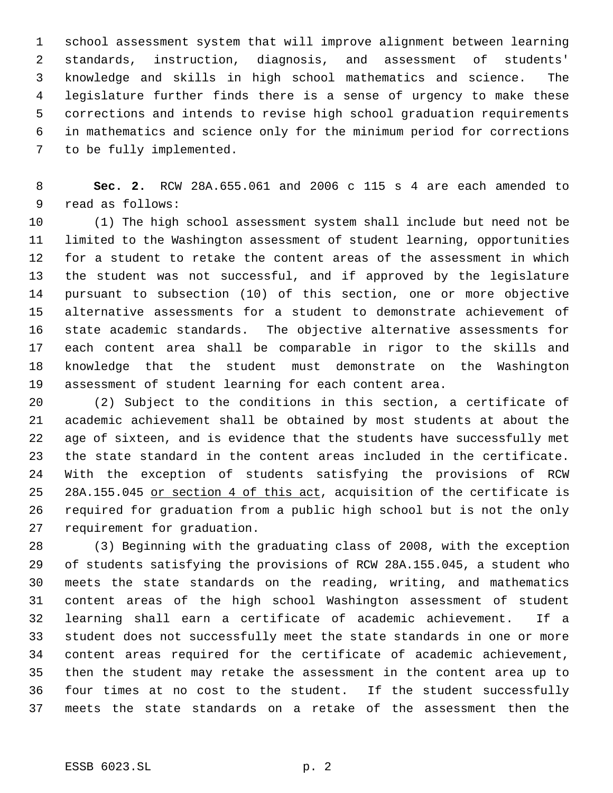school assessment system that will improve alignment between learning standards, instruction, diagnosis, and assessment of students' knowledge and skills in high school mathematics and science. The legislature further finds there is a sense of urgency to make these corrections and intends to revise high school graduation requirements in mathematics and science only for the minimum period for corrections to be fully implemented.

 **Sec. 2.** RCW 28A.655.061 and 2006 c 115 s 4 are each amended to read as follows:

 (1) The high school assessment system shall include but need not be limited to the Washington assessment of student learning, opportunities for a student to retake the content areas of the assessment in which the student was not successful, and if approved by the legislature pursuant to subsection (10) of this section, one or more objective alternative assessments for a student to demonstrate achievement of state academic standards. The objective alternative assessments for each content area shall be comparable in rigor to the skills and knowledge that the student must demonstrate on the Washington assessment of student learning for each content area.

 (2) Subject to the conditions in this section, a certificate of academic achievement shall be obtained by most students at about the age of sixteen, and is evidence that the students have successfully met the state standard in the content areas included in the certificate. With the exception of students satisfying the provisions of RCW 25 28A.155.045 or section 4 of this act, acquisition of the certificate is required for graduation from a public high school but is not the only requirement for graduation.

 (3) Beginning with the graduating class of 2008, with the exception of students satisfying the provisions of RCW 28A.155.045, a student who meets the state standards on the reading, writing, and mathematics content areas of the high school Washington assessment of student learning shall earn a certificate of academic achievement. If a student does not successfully meet the state standards in one or more content areas required for the certificate of academic achievement, then the student may retake the assessment in the content area up to four times at no cost to the student. If the student successfully meets the state standards on a retake of the assessment then the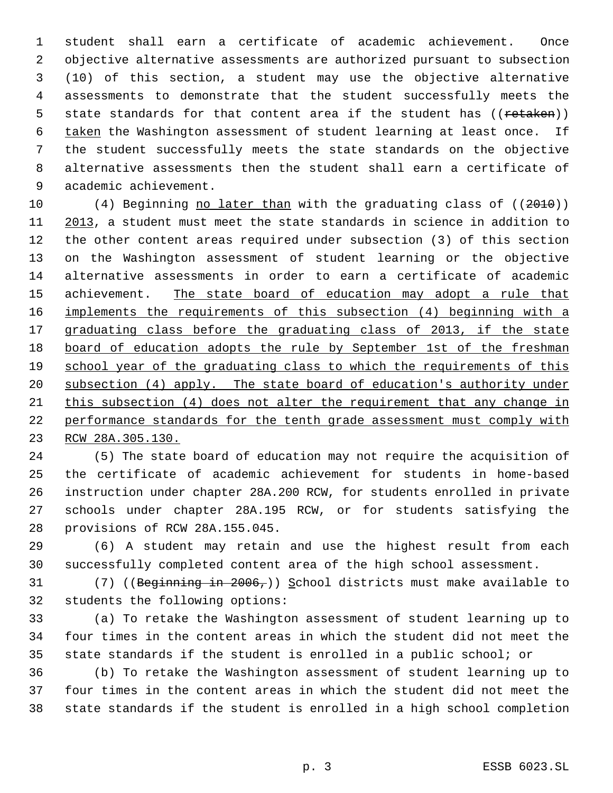student shall earn a certificate of academic achievement. Once objective alternative assessments are authorized pursuant to subsection (10) of this section, a student may use the objective alternative assessments to demonstrate that the student successfully meets the 5 state standards for that content area if the student has ((retaken)) taken the Washington assessment of student learning at least once. If the student successfully meets the state standards on the objective alternative assessments then the student shall earn a certificate of academic achievement.

10 (4) Beginning no later than with the graduating class of ((2010)) 2013, a student must meet the state standards in science in addition to the other content areas required under subsection (3) of this section on the Washington assessment of student learning or the objective alternative assessments in order to earn a certificate of academic 15 achievement. The state board of education may adopt a rule that implements the requirements of this subsection (4) beginning with a 17 graduating class before the graduating class of 2013, if the state board of education adopts the rule by September 1st of the freshman 19 school year of the graduating class to which the requirements of this subsection (4) apply. The state board of education's authority under this subsection (4) does not alter the requirement that any change in performance standards for the tenth grade assessment must comply with RCW 28A.305.130.

 (5) The state board of education may not require the acquisition of the certificate of academic achievement for students in home-based instruction under chapter 28A.200 RCW, for students enrolled in private schools under chapter 28A.195 RCW, or for students satisfying the provisions of RCW 28A.155.045.

 (6) A student may retain and use the highest result from each successfully completed content area of the high school assessment.

31 (7) ((Beginning in 2006,)) School districts must make available to students the following options:

 (a) To retake the Washington assessment of student learning up to four times in the content areas in which the student did not meet the state standards if the student is enrolled in a public school; or

 (b) To retake the Washington assessment of student learning up to four times in the content areas in which the student did not meet the state standards if the student is enrolled in a high school completion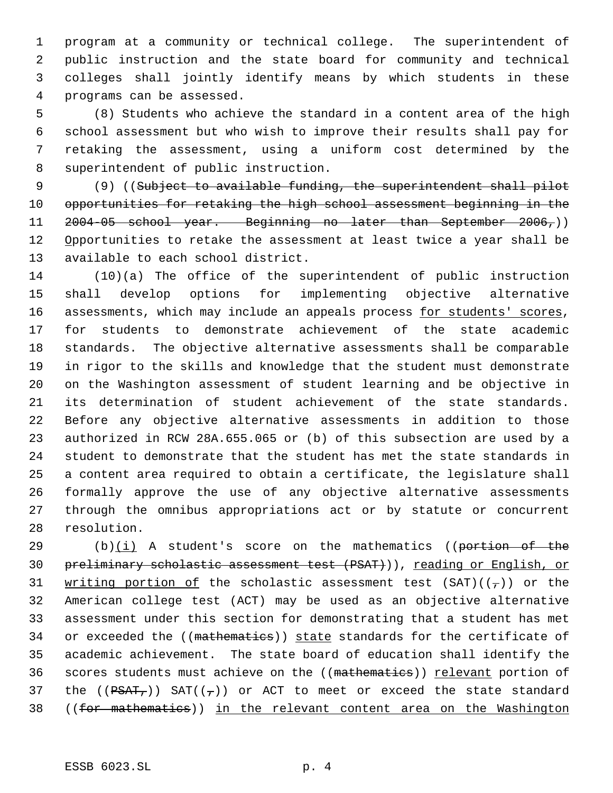program at a community or technical college. The superintendent of public instruction and the state board for community and technical colleges shall jointly identify means by which students in these programs can be assessed.

 (8) Students who achieve the standard in a content area of the high school assessment but who wish to improve their results shall pay for retaking the assessment, using a uniform cost determined by the superintendent of public instruction.

9 (9) ((Subject to available funding, the superintendent shall pilot opportunities for retaking the high school assessment beginning in the 2004-05 school year. Beginning no later than September 2006,)) 12 Opportunities to retake the assessment at least twice a year shall be available to each school district.

 (10)(a) The office of the superintendent of public instruction shall develop options for implementing objective alternative 16 assessments, which may include an appeals process for students' scores, for students to demonstrate achievement of the state academic standards. The objective alternative assessments shall be comparable in rigor to the skills and knowledge that the student must demonstrate on the Washington assessment of student learning and be objective in 21 its determination of student achievement of the state standards. Before any objective alternative assessments in addition to those authorized in RCW 28A.655.065 or (b) of this subsection are used by a student to demonstrate that the student has met the state standards in a content area required to obtain a certificate, the legislature shall formally approve the use of any objective alternative assessments through the omnibus appropriations act or by statute or concurrent resolution.

29  $(b)(i)$  A student's score on the mathematics ((portion of the 30 preliminary scholastic assessment test (PSAT))), reading or English, or 31 writing portion of the scholastic assessment test  $(SAT)((\tau))$  or the American college test (ACT) may be used as an objective alternative assessment under this section for demonstrating that a student has met 34 or exceeded the ((mathematics)) state standards for the certificate of academic achievement. The state board of education shall identify the 36 scores students must achieve on the ((mathematics)) relevant portion of 37 the  $((\overline{PSAT}_r))$  SAT $((\overline{r}))$  or ACT to meet or exceed the state standard ((for mathematics)) in the relevant content area on the Washington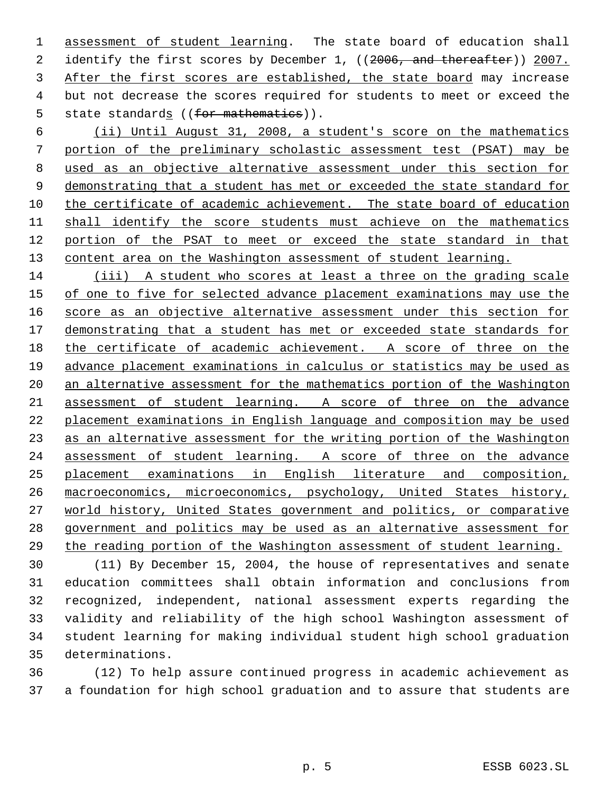1 assessment of student learning. The state board of education shall 2 identify the first scores by December 1, ((2006, and thereafter)) 2007. After the first scores are established, the state board may increase but not decrease the scores required for students to meet or exceed the 5 state standards ((for mathematics)).

 (ii) Until August 31, 2008, a student's score on the mathematics portion of the preliminary scholastic assessment test (PSAT) may be used as an objective alternative assessment under this section for 9 demonstrating that a student has met or exceeded the state standard for 10 the certificate of academic achievement. The state board of education 11 shall identify the score students must achieve on the mathematics portion of the PSAT to meet or exceed the state standard in that 13 content area on the Washington assessment of student learning.

 (iii) A student who scores at least a three on the grading scale 15 of one to five for selected advance placement examinations may use the score as an objective alternative assessment under this section for 17 demonstrating that a student has met or exceeded state standards for the certificate of academic achievement. A score of three on the advance placement examinations in calculus or statistics may be used as an alternative assessment for the mathematics portion of the Washington assessment of student learning. A score of three on the advance placement examinations in English language and composition may be used as an alternative assessment for the writing portion of the Washington assessment of student learning. A score of three on the advance placement examinations in English literature and composition, macroeconomics, microeconomics, psychology, United States history, world history, United States government and politics, or comparative government and politics may be used as an alternative assessment for the reading portion of the Washington assessment of student learning.

 (11) By December 15, 2004, the house of representatives and senate education committees shall obtain information and conclusions from recognized, independent, national assessment experts regarding the validity and reliability of the high school Washington assessment of student learning for making individual student high school graduation determinations.

 (12) To help assure continued progress in academic achievement as a foundation for high school graduation and to assure that students are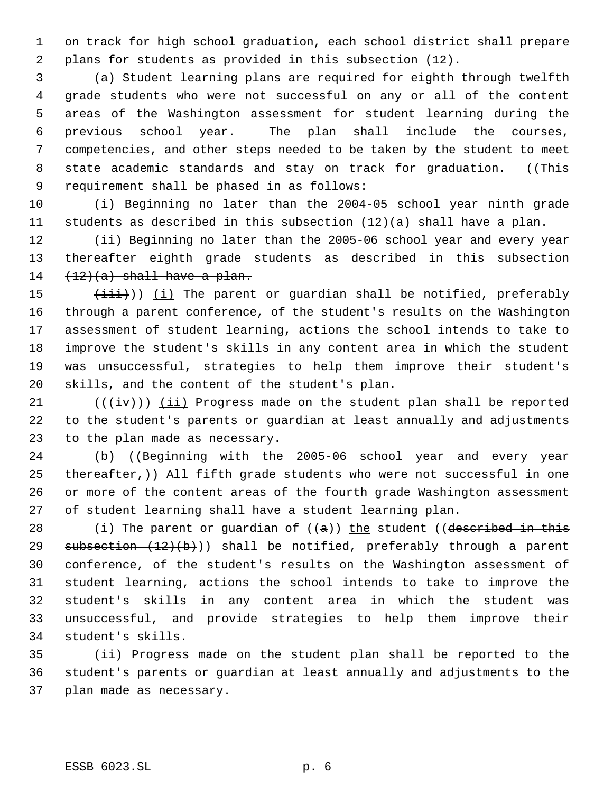on track for high school graduation, each school district shall prepare plans for students as provided in this subsection (12).

 (a) Student learning plans are required for eighth through twelfth grade students who were not successful on any or all of the content areas of the Washington assessment for student learning during the previous school year. The plan shall include the courses, competencies, and other steps needed to be taken by the student to meet 8 state academic standards and stay on track for graduation. ((This 9 requirement shall be phased in as follows:

10 (i) Beginning no later than the 2004-05 school year ninth grade students as described in this subsection (12)(a) shall have a plan.

12 (ii) Beginning no later than the 2005-06 school year and every year 13 thereafter eighth grade students as described in this subsection  $(12)(a)$  shall have a plan.

 $(\pm i i)$ ) (i) The parent or guardian shall be notified, preferably through a parent conference, of the student's results on the Washington assessment of student learning, actions the school intends to take to improve the student's skills in any content area in which the student was unsuccessful, strategies to help them improve their student's skills, and the content of the student's plan.

21  $((\overleftrightarrow{iv}))$  (ii) Progress made on the student plan shall be reported to the student's parents or guardian at least annually and adjustments to the plan made as necessary.

24 (b) ((Beginning with the 2005-06 school year and every year 25 thereafter,)) All fifth grade students who were not successful in one or more of the content areas of the fourth grade Washington assessment of student learning shall have a student learning plan.

28 (i) The parent or guardian of  $((a))$  the student ((described in this 29 subsection  $(12)(b)$ ) shall be notified, preferably through a parent conference, of the student's results on the Washington assessment of student learning, actions the school intends to take to improve the student's skills in any content area in which the student was unsuccessful, and provide strategies to help them improve their student's skills.

 (ii) Progress made on the student plan shall be reported to the student's parents or guardian at least annually and adjustments to the plan made as necessary.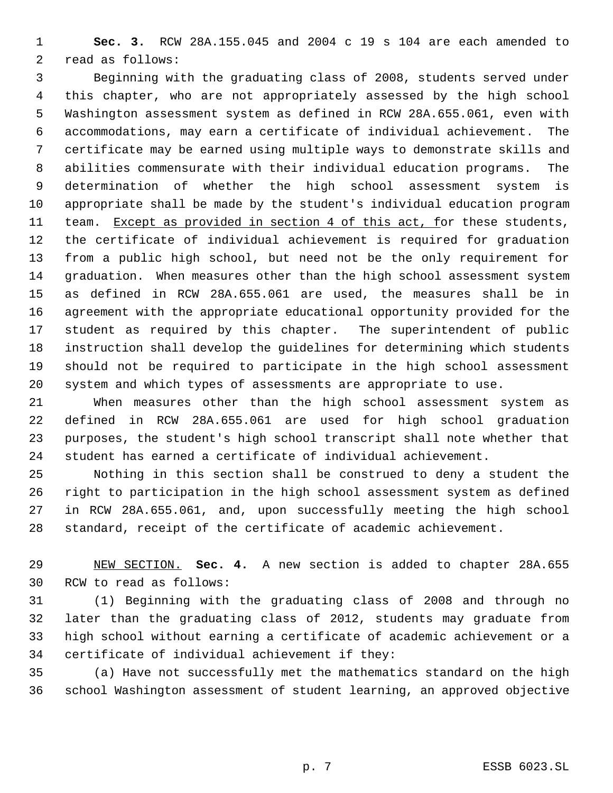**Sec. 3.** RCW 28A.155.045 and 2004 c 19 s 104 are each amended to read as follows:

 Beginning with the graduating class of 2008, students served under this chapter, who are not appropriately assessed by the high school Washington assessment system as defined in RCW 28A.655.061, even with accommodations, may earn a certificate of individual achievement. The certificate may be earned using multiple ways to demonstrate skills and abilities commensurate with their individual education programs. The determination of whether the high school assessment system is appropriate shall be made by the student's individual education program 11 team. Except as provided in section 4 of this act, for these students, the certificate of individual achievement is required for graduation from a public high school, but need not be the only requirement for graduation. When measures other than the high school assessment system as defined in RCW 28A.655.061 are used, the measures shall be in agreement with the appropriate educational opportunity provided for the student as required by this chapter. The superintendent of public instruction shall develop the guidelines for determining which students should not be required to participate in the high school assessment system and which types of assessments are appropriate to use.

 When measures other than the high school assessment system as defined in RCW 28A.655.061 are used for high school graduation purposes, the student's high school transcript shall note whether that student has earned a certificate of individual achievement.

 Nothing in this section shall be construed to deny a student the right to participation in the high school assessment system as defined in RCW 28A.655.061, and, upon successfully meeting the high school standard, receipt of the certificate of academic achievement.

 NEW SECTION. **Sec. 4.** A new section is added to chapter 28A.655 RCW to read as follows:

 (1) Beginning with the graduating class of 2008 and through no later than the graduating class of 2012, students may graduate from high school without earning a certificate of academic achievement or a certificate of individual achievement if they:

 (a) Have not successfully met the mathematics standard on the high school Washington assessment of student learning, an approved objective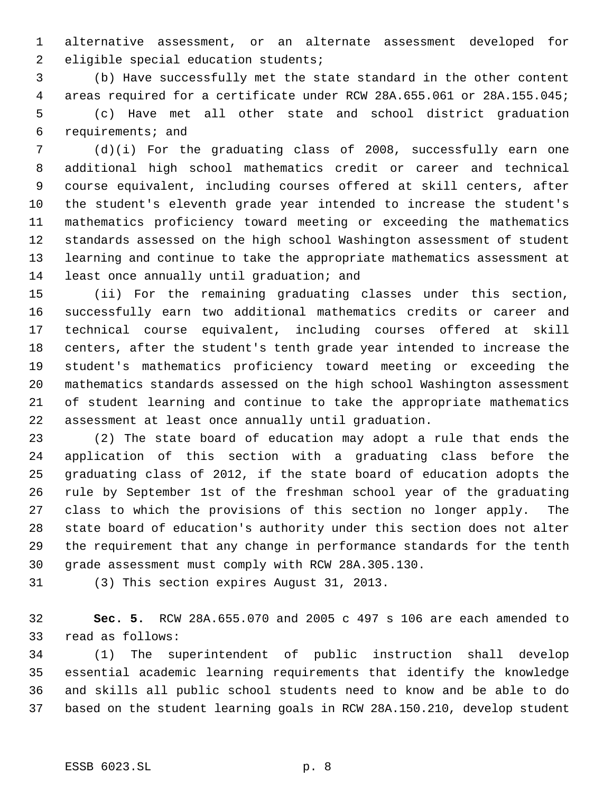alternative assessment, or an alternate assessment developed for eligible special education students;

 (b) Have successfully met the state standard in the other content areas required for a certificate under RCW 28A.655.061 or 28A.155.045; (c) Have met all other state and school district graduation requirements; and

 (d)(i) For the graduating class of 2008, successfully earn one additional high school mathematics credit or career and technical course equivalent, including courses offered at skill centers, after the student's eleventh grade year intended to increase the student's mathematics proficiency toward meeting or exceeding the mathematics standards assessed on the high school Washington assessment of student learning and continue to take the appropriate mathematics assessment at least once annually until graduation; and

 (ii) For the remaining graduating classes under this section, successfully earn two additional mathematics credits or career and technical course equivalent, including courses offered at skill centers, after the student's tenth grade year intended to increase the student's mathematics proficiency toward meeting or exceeding the mathematics standards assessed on the high school Washington assessment of student learning and continue to take the appropriate mathematics assessment at least once annually until graduation.

 (2) The state board of education may adopt a rule that ends the application of this section with a graduating class before the graduating class of 2012, if the state board of education adopts the rule by September 1st of the freshman school year of the graduating class to which the provisions of this section no longer apply. The state board of education's authority under this section does not alter the requirement that any change in performance standards for the tenth grade assessment must comply with RCW 28A.305.130.

(3) This section expires August 31, 2013.

 **Sec. 5.** RCW 28A.655.070 and 2005 c 497 s 106 are each amended to read as follows:

 (1) The superintendent of public instruction shall develop essential academic learning requirements that identify the knowledge and skills all public school students need to know and be able to do based on the student learning goals in RCW 28A.150.210, develop student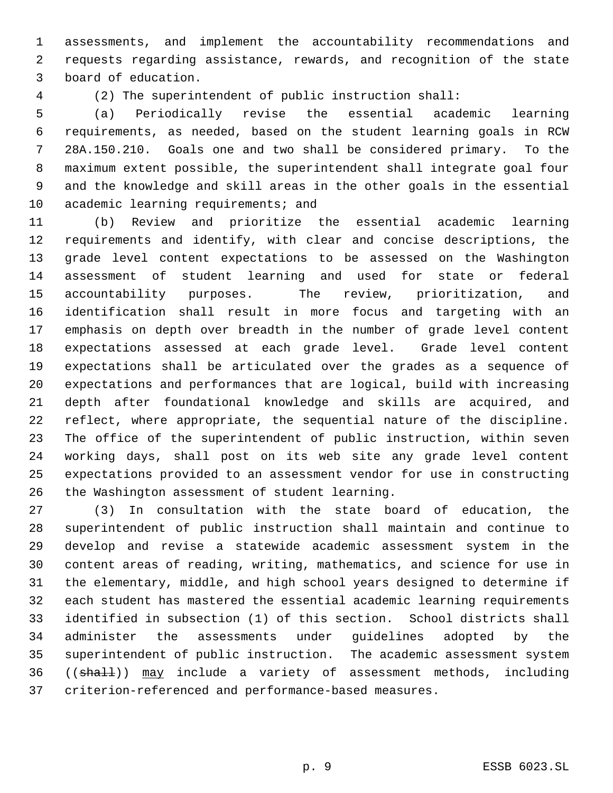assessments, and implement the accountability recommendations and requests regarding assistance, rewards, and recognition of the state board of education.

(2) The superintendent of public instruction shall:

 (a) Periodically revise the essential academic learning requirements, as needed, based on the student learning goals in RCW 28A.150.210. Goals one and two shall be considered primary. To the maximum extent possible, the superintendent shall integrate goal four and the knowledge and skill areas in the other goals in the essential 10 academic learning requirements; and

 (b) Review and prioritize the essential academic learning requirements and identify, with clear and concise descriptions, the grade level content expectations to be assessed on the Washington assessment of student learning and used for state or federal accountability purposes. The review, prioritization, and identification shall result in more focus and targeting with an emphasis on depth over breadth in the number of grade level content expectations assessed at each grade level. Grade level content expectations shall be articulated over the grades as a sequence of expectations and performances that are logical, build with increasing depth after foundational knowledge and skills are acquired, and reflect, where appropriate, the sequential nature of the discipline. The office of the superintendent of public instruction, within seven working days, shall post on its web site any grade level content expectations provided to an assessment vendor for use in constructing the Washington assessment of student learning.

 (3) In consultation with the state board of education, the superintendent of public instruction shall maintain and continue to develop and revise a statewide academic assessment system in the content areas of reading, writing, mathematics, and science for use in the elementary, middle, and high school years designed to determine if each student has mastered the essential academic learning requirements identified in subsection (1) of this section. School districts shall administer the assessments under guidelines adopted by the superintendent of public instruction. The academic assessment system 36 ((shall)) may include a variety of assessment methods, including criterion-referenced and performance-based measures.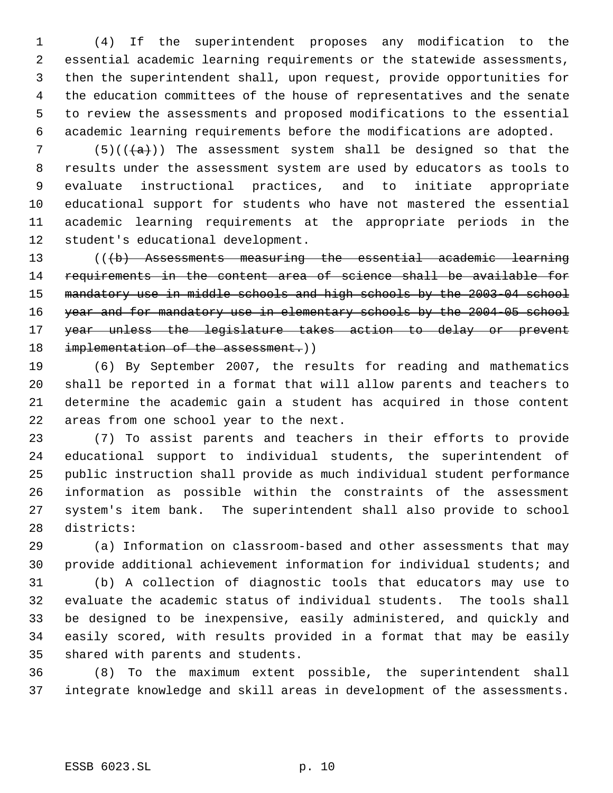(4) If the superintendent proposes any modification to the essential academic learning requirements or the statewide assessments, then the superintendent shall, upon request, provide opportunities for the education committees of the house of representatives and the senate to review the assessments and proposed modifications to the essential academic learning requirements before the modifications are adopted.

7 (5)( $(\overline{a})$ ) The assessment system shall be designed so that the results under the assessment system are used by educators as tools to evaluate instructional practices, and to initiate appropriate educational support for students who have not mastered the essential academic learning requirements at the appropriate periods in the student's educational development.

 (((b) Assessments measuring the essential academic learning requirements in the content area of science shall be available for mandatory use in middle schools and high schools by the 2003-04 school 16 year and for mandatory use in elementary schools by the 2004-05 school year unless the legislature takes action to delay or prevent 18 implementation of the assessment.))

 (6) By September 2007, the results for reading and mathematics shall be reported in a format that will allow parents and teachers to determine the academic gain a student has acquired in those content areas from one school year to the next.

 (7) To assist parents and teachers in their efforts to provide educational support to individual students, the superintendent of public instruction shall provide as much individual student performance information as possible within the constraints of the assessment system's item bank. The superintendent shall also provide to school districts:

 (a) Information on classroom-based and other assessments that may provide additional achievement information for individual students; and

 (b) A collection of diagnostic tools that educators may use to evaluate the academic status of individual students. The tools shall be designed to be inexpensive, easily administered, and quickly and easily scored, with results provided in a format that may be easily shared with parents and students.

 (8) To the maximum extent possible, the superintendent shall integrate knowledge and skill areas in development of the assessments.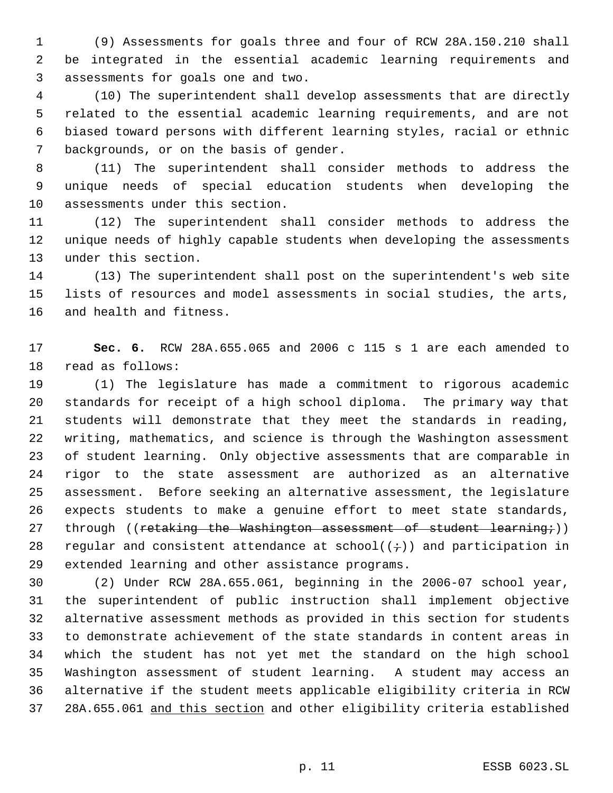(9) Assessments for goals three and four of RCW 28A.150.210 shall be integrated in the essential academic learning requirements and assessments for goals one and two.

 (10) The superintendent shall develop assessments that are directly related to the essential academic learning requirements, and are not biased toward persons with different learning styles, racial or ethnic backgrounds, or on the basis of gender.

 (11) The superintendent shall consider methods to address the unique needs of special education students when developing the assessments under this section.

 (12) The superintendent shall consider methods to address the unique needs of highly capable students when developing the assessments under this section.

 (13) The superintendent shall post on the superintendent's web site lists of resources and model assessments in social studies, the arts, and health and fitness.

 **Sec. 6.** RCW 28A.655.065 and 2006 c 115 s 1 are each amended to read as follows:

 (1) The legislature has made a commitment to rigorous academic standards for receipt of a high school diploma. The primary way that students will demonstrate that they meet the standards in reading, writing, mathematics, and science is through the Washington assessment of student learning. Only objective assessments that are comparable in rigor to the state assessment are authorized as an alternative assessment. Before seeking an alternative assessment, the legislature expects students to make a genuine effort to meet state standards, 27 through ((retaking the Washington assessment of student learning;)) 28 reqular and consistent attendance at school( $(\div)$ ) and participation in extended learning and other assistance programs.

 (2) Under RCW 28A.655.061, beginning in the 2006-07 school year, the superintendent of public instruction shall implement objective alternative assessment methods as provided in this section for students to demonstrate achievement of the state standards in content areas in which the student has not yet met the standard on the high school Washington assessment of student learning. A student may access an alternative if the student meets applicable eligibility criteria in RCW 28A.655.061 and this section and other eligibility criteria established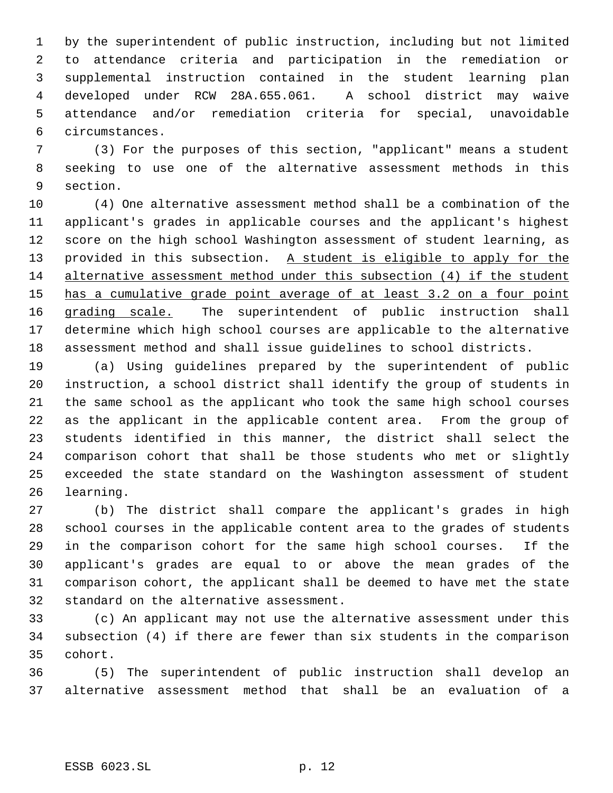by the superintendent of public instruction, including but not limited to attendance criteria and participation in the remediation or supplemental instruction contained in the student learning plan developed under RCW 28A.655.061. A school district may waive attendance and/or remediation criteria for special, unavoidable circumstances.

 (3) For the purposes of this section, "applicant" means a student seeking to use one of the alternative assessment methods in this section.

 (4) One alternative assessment method shall be a combination of the applicant's grades in applicable courses and the applicant's highest score on the high school Washington assessment of student learning, as 13 provided in this subsection. A student is eligible to apply for the alternative assessment method under this subsection (4) if the student 15 has a cumulative grade point average of at least 3.2 on a four point 16 grading scale. The superintendent of public instruction shall determine which high school courses are applicable to the alternative assessment method and shall issue guidelines to school districts.

 (a) Using guidelines prepared by the superintendent of public instruction, a school district shall identify the group of students in the same school as the applicant who took the same high school courses as the applicant in the applicable content area. From the group of students identified in this manner, the district shall select the comparison cohort that shall be those students who met or slightly exceeded the state standard on the Washington assessment of student learning.

 (b) The district shall compare the applicant's grades in high school courses in the applicable content area to the grades of students in the comparison cohort for the same high school courses. If the applicant's grades are equal to or above the mean grades of the comparison cohort, the applicant shall be deemed to have met the state standard on the alternative assessment.

 (c) An applicant may not use the alternative assessment under this subsection (4) if there are fewer than six students in the comparison cohort.

 (5) The superintendent of public instruction shall develop an alternative assessment method that shall be an evaluation of a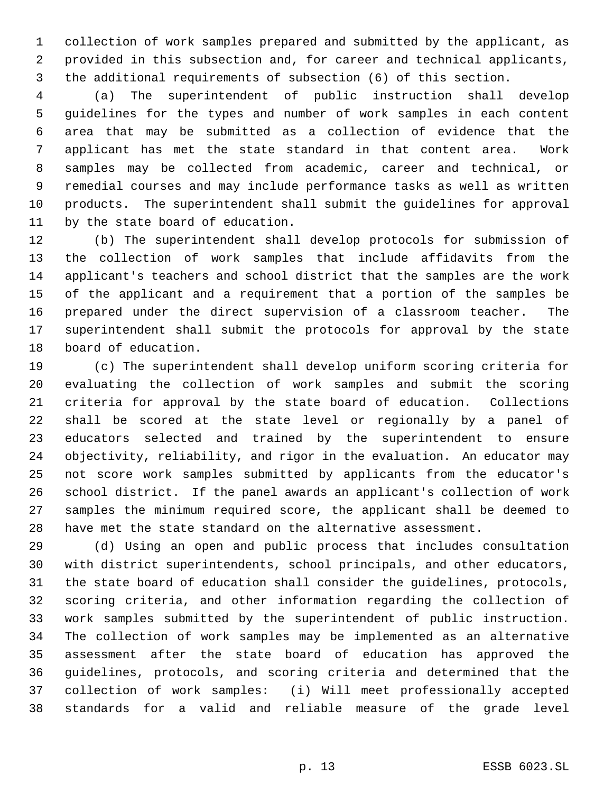collection of work samples prepared and submitted by the applicant, as provided in this subsection and, for career and technical applicants, the additional requirements of subsection (6) of this section.

 (a) The superintendent of public instruction shall develop guidelines for the types and number of work samples in each content area that may be submitted as a collection of evidence that the applicant has met the state standard in that content area. Work samples may be collected from academic, career and technical, or remedial courses and may include performance tasks as well as written products. The superintendent shall submit the guidelines for approval by the state board of education.

 (b) The superintendent shall develop protocols for submission of the collection of work samples that include affidavits from the applicant's teachers and school district that the samples are the work of the applicant and a requirement that a portion of the samples be prepared under the direct supervision of a classroom teacher. The superintendent shall submit the protocols for approval by the state board of education.

 (c) The superintendent shall develop uniform scoring criteria for evaluating the collection of work samples and submit the scoring criteria for approval by the state board of education. Collections shall be scored at the state level or regionally by a panel of educators selected and trained by the superintendent to ensure objectivity, reliability, and rigor in the evaluation. An educator may not score work samples submitted by applicants from the educator's school district. If the panel awards an applicant's collection of work samples the minimum required score, the applicant shall be deemed to have met the state standard on the alternative assessment.

 (d) Using an open and public process that includes consultation with district superintendents, school principals, and other educators, the state board of education shall consider the guidelines, protocols, scoring criteria, and other information regarding the collection of work samples submitted by the superintendent of public instruction. The collection of work samples may be implemented as an alternative assessment after the state board of education has approved the guidelines, protocols, and scoring criteria and determined that the collection of work samples: (i) Will meet professionally accepted standards for a valid and reliable measure of the grade level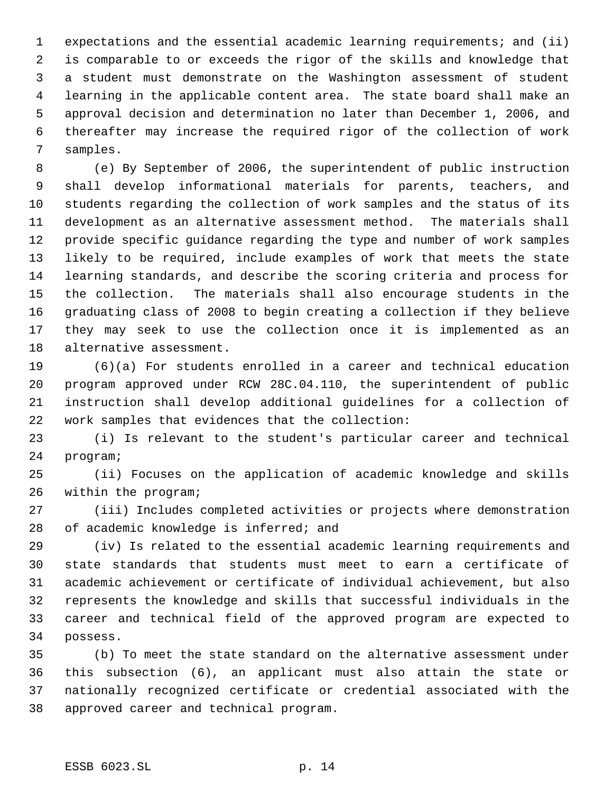expectations and the essential academic learning requirements; and (ii) is comparable to or exceeds the rigor of the skills and knowledge that a student must demonstrate on the Washington assessment of student learning in the applicable content area. The state board shall make an approval decision and determination no later than December 1, 2006, and thereafter may increase the required rigor of the collection of work samples.

 (e) By September of 2006, the superintendent of public instruction shall develop informational materials for parents, teachers, and students regarding the collection of work samples and the status of its development as an alternative assessment method. The materials shall provide specific guidance regarding the type and number of work samples likely to be required, include examples of work that meets the state learning standards, and describe the scoring criteria and process for the collection. The materials shall also encourage students in the graduating class of 2008 to begin creating a collection if they believe they may seek to use the collection once it is implemented as an alternative assessment.

 (6)(a) For students enrolled in a career and technical education program approved under RCW 28C.04.110, the superintendent of public instruction shall develop additional guidelines for a collection of work samples that evidences that the collection:

 (i) Is relevant to the student's particular career and technical program;

 (ii) Focuses on the application of academic knowledge and skills within the program;

 (iii) Includes completed activities or projects where demonstration of academic knowledge is inferred; and

 (iv) Is related to the essential academic learning requirements and state standards that students must meet to earn a certificate of academic achievement or certificate of individual achievement, but also represents the knowledge and skills that successful individuals in the career and technical field of the approved program are expected to possess.

 (b) To meet the state standard on the alternative assessment under this subsection (6), an applicant must also attain the state or nationally recognized certificate or credential associated with the approved career and technical program.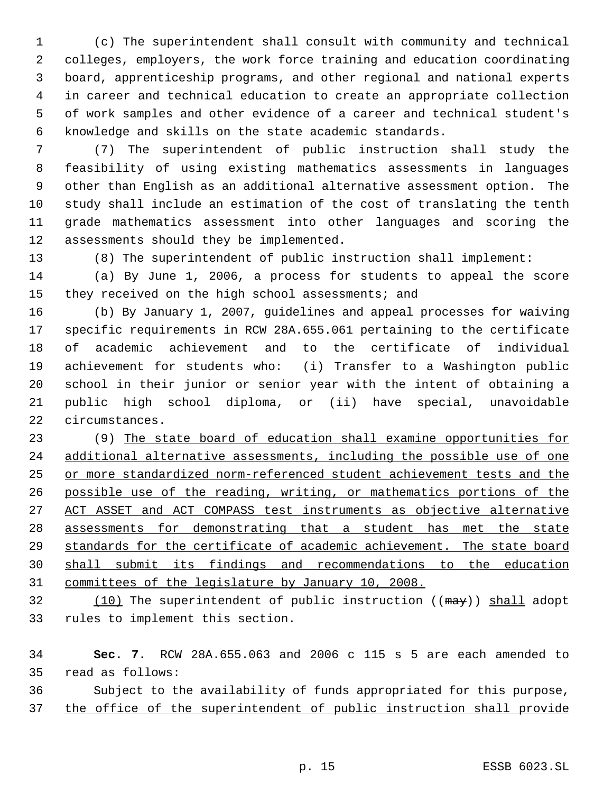(c) The superintendent shall consult with community and technical colleges, employers, the work force training and education coordinating board, apprenticeship programs, and other regional and national experts in career and technical education to create an appropriate collection of work samples and other evidence of a career and technical student's knowledge and skills on the state academic standards.

 (7) The superintendent of public instruction shall study the feasibility of using existing mathematics assessments in languages other than English as an additional alternative assessment option. The study shall include an estimation of the cost of translating the tenth grade mathematics assessment into other languages and scoring the assessments should they be implemented.

(8) The superintendent of public instruction shall implement:

 (a) By June 1, 2006, a process for students to appeal the score they received on the high school assessments; and

 (b) By January 1, 2007, guidelines and appeal processes for waiving specific requirements in RCW 28A.655.061 pertaining to the certificate of academic achievement and to the certificate of individual achievement for students who: (i) Transfer to a Washington public school in their junior or senior year with the intent of obtaining a public high school diploma, or (ii) have special, unavoidable circumstances.

 (9) The state board of education shall examine opportunities for 24 additional alternative assessments, including the possible use of one or more standardized norm-referenced student achievement tests and the possible use of the reading, writing, or mathematics portions of the ACT ASSET and ACT COMPASS test instruments as objective alternative assessments for demonstrating that a student has met the state standards for the certificate of academic achievement. The state board shall submit its findings and recommendations to the education committees of the legislature by January 10, 2008.

32 (10) The superintendent of public instruction ((may)) shall adopt rules to implement this section.

 **Sec. 7.** RCW 28A.655.063 and 2006 c 115 s 5 are each amended to read as follows:

 Subject to the availability of funds appropriated for this purpose, 37 the office of the superintendent of public instruction shall provide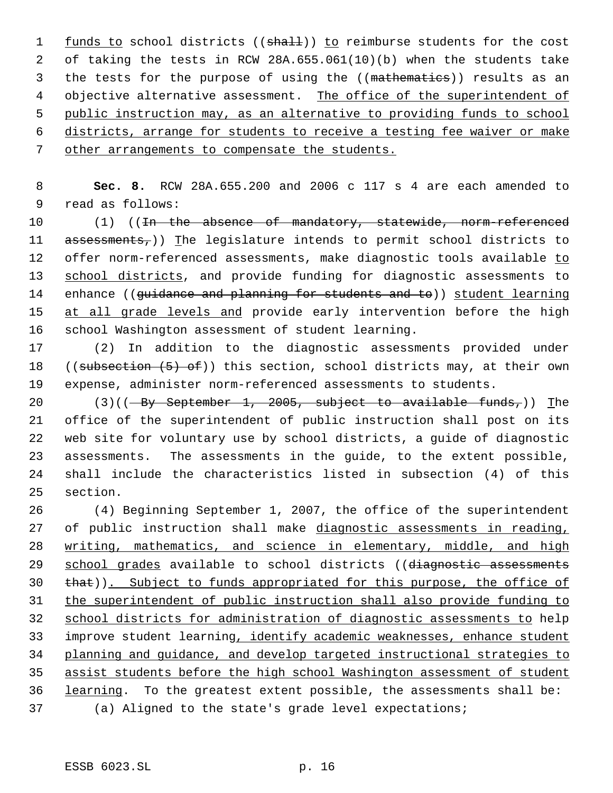1 funds to school districts ((shall)) to reimburse students for the cost of taking the tests in RCW 28A.655.061(10)(b) when the students take 3 the tests for the purpose of using the ((mathematics)) results as an 4 objective alternative assessment. The office of the superintendent of public instruction may, as an alternative to providing funds to school districts, arrange for students to receive a testing fee waiver or make other arrangements to compensate the students.

 **Sec. 8.** RCW 28A.655.200 and 2006 c 117 s 4 are each amended to read as follows:

10 (1) ((<del>In the absence of mandatory, statewide, norm-referenced</del> 11 assessments,)) The legislature intends to permit school districts to 12 offer norm-referenced assessments, make diagnostic tools available to school districts, and provide funding for diagnostic assessments to 14 enhance ((guidance and planning for students and to)) student learning 15 at all grade levels and provide early intervention before the high school Washington assessment of student learning.

 (2) In addition to the diagnostic assessments provided under 18 ((subsection  $(5)$  of)) this section, school districts may, at their own expense, administer norm-referenced assessments to students.

 $(3)((-By September 1, 2005, subject to available funds.)$  The office of the superintendent of public instruction shall post on its web site for voluntary use by school districts, a guide of diagnostic assessments. The assessments in the guide, to the extent possible, shall include the characteristics listed in subsection (4) of this section.

 (4) Beginning September 1, 2007, the office of the superintendent 27 of public instruction shall make diagnostic assessments in reading, writing, mathematics, and science in elementary, middle, and high 29 school grades available to school districts ((diagnostic assessments that)). Subject to funds appropriated for this purpose, the office of the superintendent of public instruction shall also provide funding to school districts for administration of diagnostic assessments to help improve student learning, identify academic weaknesses, enhance student planning and guidance, and develop targeted instructional strategies to assist students before the high school Washington assessment of student learning. To the greatest extent possible, the assessments shall be: (a) Aligned to the state's grade level expectations;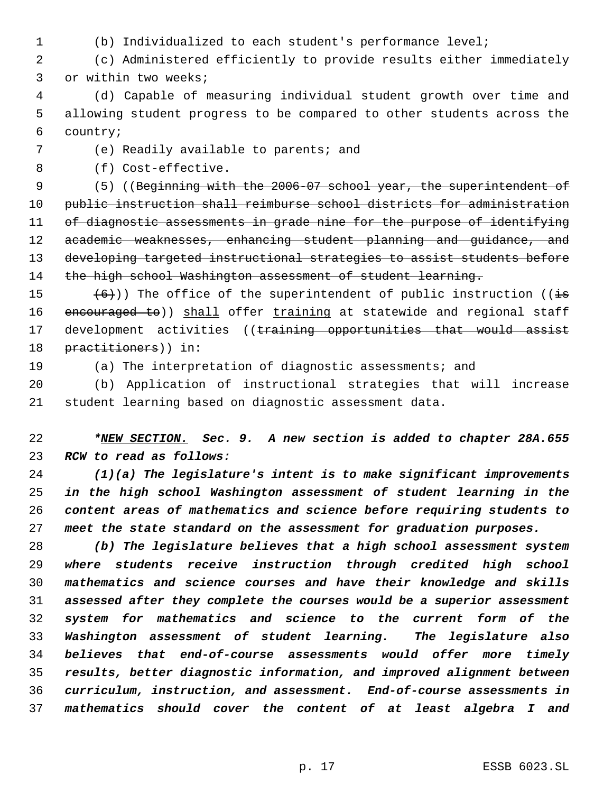- 
- (b) Individualized to each student's performance level;

 (c) Administered efficiently to provide results either immediately or within two weeks;

 (d) Capable of measuring individual student growth over time and allowing student progress to be compared to other students across the country;

## (e) Readily available to parents; and

(f) Cost-effective.

9 (5) ((Beginning with the 2006-07 school year, the superintendent of public instruction shall reimburse school districts for administration 11 of diagnostic assessments in grade nine for the purpose of identifying 12 academic weaknesses, enhancing student planning and guidance, and developing targeted instructional strategies to assist students before 14 the high school Washington assessment of student learning.

15  $(6)$ )) The office of the superintendent of public instruction ((is 16 encouraged to)) shall offer training at statewide and regional staff 17 development activities ((training opportunities that would assist 18 practitioners)) in:

(a) The interpretation of diagnostic assessments; and

 (b) Application of instructional strategies that will increase student learning based on diagnostic assessment data.

 *\*NEW SECTION. Sec. 9. A new section is added to chapter 28A.655 RCW to read as follows:*

 *(1)(a) The legislature's intent is to make significant improvements in the high school Washington assessment of student learning in the content areas of mathematics and science before requiring students to meet the state standard on the assessment for graduation purposes.*

 *(b) The legislature believes that a high school assessment system where students receive instruction through credited high school mathematics and science courses and have their knowledge and skills assessed after they complete the courses would be a superior assessment system for mathematics and science to the current form of the Washington assessment of student learning. The legislature also believes that end-of-course assessments would offer more timely results, better diagnostic information, and improved alignment between curriculum, instruction, and assessment. End-of-course assessments in mathematics should cover the content of at least algebra I and*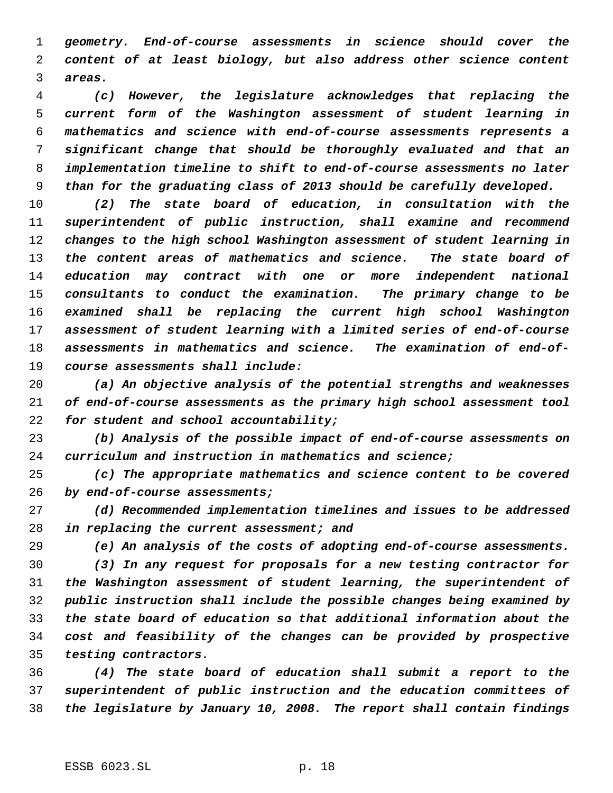*geometry. End-of-course assessments in science should cover the content of at least biology, but also address other science content areas.*

 *(c) However, the legislature acknowledges that replacing the current form of the Washington assessment of student learning in mathematics and science with end-of-course assessments represents a significant change that should be thoroughly evaluated and that an implementation timeline to shift to end-of-course assessments no later than for the graduating class of 2013 should be carefully developed.*

 *(2) The state board of education, in consultation with the superintendent of public instruction, shall examine and recommend changes to the high school Washington assessment of student learning in the content areas of mathematics and science. The state board of education may contract with one or more independent national consultants to conduct the examination. The primary change to be examined shall be replacing the current high school Washington assessment of student learning with a limited series of end-of-course assessments in mathematics and science. The examination of end-of-course assessments shall include:*

 *(a) An objective analysis of the potential strengths and weaknesses of end-of-course assessments as the primary high school assessment tool for student and school accountability;*

 *(b) Analysis of the possible impact of end-of-course assessments on curriculum and instruction in mathematics and science;*

 *(c) The appropriate mathematics and science content to be covered by end-of-course assessments;*

 *(d) Recommended implementation timelines and issues to be addressed in replacing the current assessment; and*

*(e) An analysis of the costs of adopting end-of-course assessments.*

 *(3) In any request for proposals for a new testing contractor for the Washington assessment of student learning, the superintendent of public instruction shall include the possible changes being examined by the state board of education so that additional information about the cost and feasibility of the changes can be provided by prospective testing contractors.*

 *(4) The state board of education shall submit a report to the superintendent of public instruction and the education committees of the legislature by January 10, 2008. The report shall contain findings*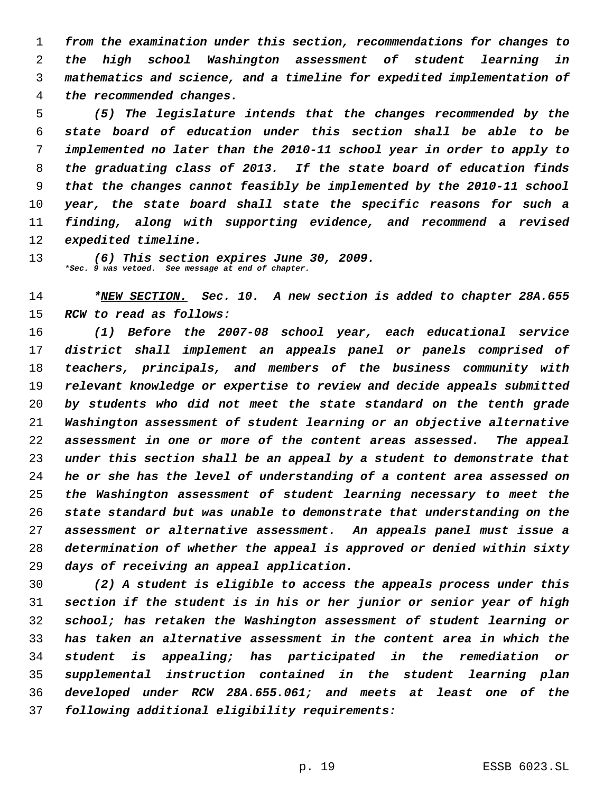*from the examination under this section, recommendations for changes to the high school Washington assessment of student learning in mathematics and science, and a timeline for expedited implementation of the recommended changes.*

 *(5) The legislature intends that the changes recommended by the state board of education under this section shall be able to be implemented no later than the 2010-11 school year in order to apply to the graduating class of 2013. If the state board of education finds that the changes cannot feasibly be implemented by the 2010-11 school year, the state board shall state the specific reasons for such a finding, along with supporting evidence, and recommend a revised expedited timeline.*

 *(6) This section expires June 30, 2009. \*Sec. 9 was vetoed. See message at end of chapter.*

 *\*NEW SECTION. Sec. 10. A new section is added to chapter 28A.655 RCW to read as follows:*

 *(1) Before the 2007-08 school year, each educational service district shall implement an appeals panel or panels comprised of teachers, principals, and members of the business community with relevant knowledge or expertise to review and decide appeals submitted by students who did not meet the state standard on the tenth grade Washington assessment of student learning or an objective alternative assessment in one or more of the content areas assessed. The appeal under this section shall be an appeal by a student to demonstrate that he or she has the level of understanding of a content area assessed on the Washington assessment of student learning necessary to meet the state standard but was unable to demonstrate that understanding on the assessment or alternative assessment. An appeals panel must issue a determination of whether the appeal is approved or denied within sixty days of receiving an appeal application.*

 *(2) A student is eligible to access the appeals process under this section if the student is in his or her junior or senior year of high school; has retaken the Washington assessment of student learning or has taken an alternative assessment in the content area in which the student is appealing; has participated in the remediation or supplemental instruction contained in the student learning plan developed under RCW 28A.655.061; and meets at least one of the following additional eligibility requirements:*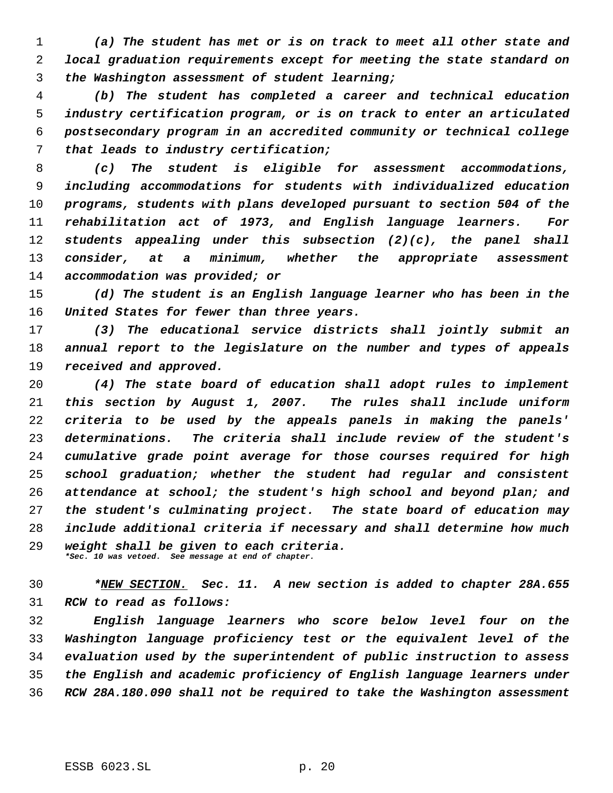*(a) The student has met or is on track to meet all other state and local graduation requirements except for meeting the state standard on the Washington assessment of student learning;*

 *(b) The student has completed a career and technical education industry certification program, or is on track to enter an articulated postsecondary program in an accredited community or technical college that leads to industry certification;*

 *(c) The student is eligible for assessment accommodations, including accommodations for students with individualized education programs, students with plans developed pursuant to section 504 of the rehabilitation act of 1973, and English language learners. For students appealing under this subsection (2)(c), the panel shall consider, at a minimum, whether the appropriate assessment accommodation was provided; or*

 *(d) The student is an English language learner who has been in the United States for fewer than three years.*

 *(3) The educational service districts shall jointly submit an annual report to the legislature on the number and types of appeals received and approved.*

 *(4) The state board of education shall adopt rules to implement this section by August 1, 2007. The rules shall include uniform criteria to be used by the appeals panels in making the panels' determinations. The criteria shall include review of the student's cumulative grade point average for those courses required for high school graduation; whether the student had regular and consistent attendance at school; the student's high school and beyond plan; and the student's culminating project. The state board of education may include additional criteria if necessary and shall determine how much weight shall be given to each criteria. \*Sec. 10 was vetoed. See message at end of chapter.*

 *\*NEW SECTION. Sec. 11. A new section is added to chapter 28A.655 RCW to read as follows:*

 *English language learners who score below level four on the Washington language proficiency test or the equivalent level of the evaluation used by the superintendent of public instruction to assess the English and academic proficiency of English language learners under RCW 28A.180.090 shall not be required to take the Washington assessment*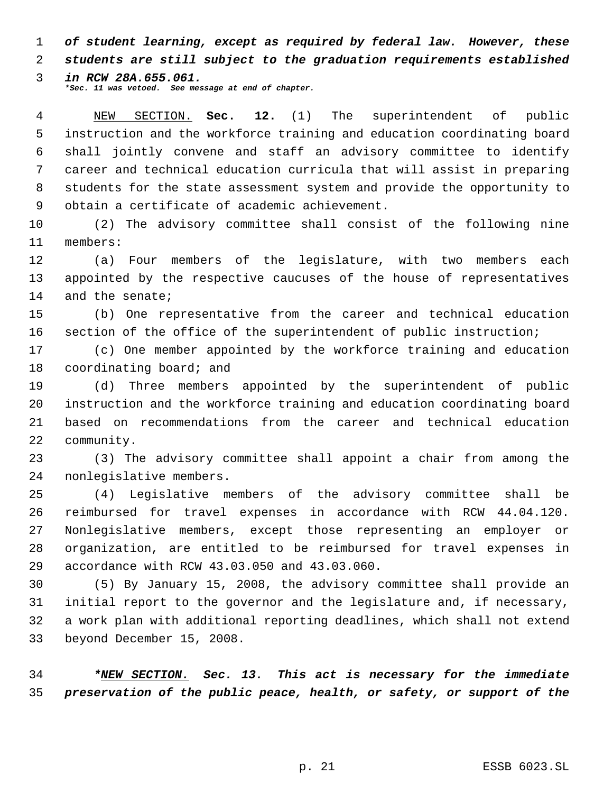*of student learning, except as required by federal law. However, these students are still subject to the graduation requirements established*

 *in RCW 28A.655.061. \*Sec. 11 was vetoed. See message at end of chapter.*

 NEW SECTION. **Sec. 12.** (1) The superintendent of public instruction and the workforce training and education coordinating board shall jointly convene and staff an advisory committee to identify career and technical education curricula that will assist in preparing students for the state assessment system and provide the opportunity to obtain a certificate of academic achievement.

 (2) The advisory committee shall consist of the following nine members:

 (a) Four members of the legislature, with two members each appointed by the respective caucuses of the house of representatives 14 and the senate;

 (b) One representative from the career and technical education section of the office of the superintendent of public instruction;

 (c) One member appointed by the workforce training and education coordinating board; and

 (d) Three members appointed by the superintendent of public instruction and the workforce training and education coordinating board based on recommendations from the career and technical education community.

 (3) The advisory committee shall appoint a chair from among the nonlegislative members.

 (4) Legislative members of the advisory committee shall be reimbursed for travel expenses in accordance with RCW 44.04.120. Nonlegislative members, except those representing an employer or organization, are entitled to be reimbursed for travel expenses in accordance with RCW 43.03.050 and 43.03.060.

 (5) By January 15, 2008, the advisory committee shall provide an initial report to the governor and the legislature and, if necessary, a work plan with additional reporting deadlines, which shall not extend beyond December 15, 2008.

 *\*NEW SECTION. Sec. 13. This act is necessary for the immediate preservation of the public peace, health, or safety, or support of the*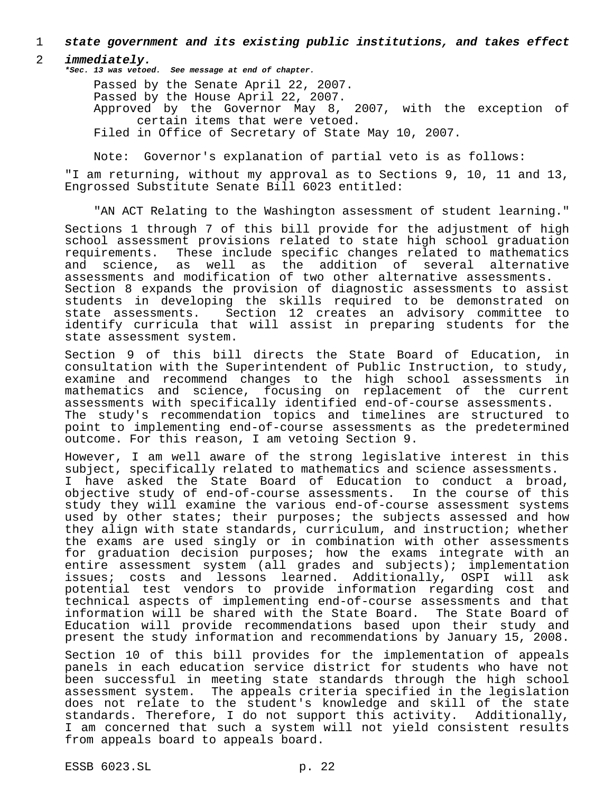### 1 *state government and its existing public institutions, and takes effect*

### 2 *immediately.*

*\*Sec. 13 was vetoed. See message at end of chapter.*

Passed by the Senate April 22, 2007. Passed by the House April 22, 2007. Approved by the Governor May 8, 2007, with the exception of certain items that were vetoed. Filed in Office of Secretary of State May 10, 2007.

Note: Governor's explanation of partial veto is as follows:

"I am returning, without my approval as to Sections 9, 10, 11 and 13, Engrossed Substitute Senate Bill 6023 entitled:

"AN ACT Relating to the Washington assessment of student learning."

Sections 1 through 7 of this bill provide for the adjustment of high school assessment provisions related to state high school graduation requirements. These include specific changes related to mathematics and science, as well as the addition of several alternative assessments and modification of two other alternative assessments. Section 8 expands the provision of diagnostic assessments to assist students in developing the skills required to be demonstrated on state assessments. Section 12 creates an advisory committee to identify curricula that will assist in preparing students for the state assessment system.

Section 9 of this bill directs the State Board of Education, in consultation with the Superintendent of Public Instruction, to study, examine and recommend changes to the high school assessments in mathematics and science, focusing on replacement of the current assessments with specifically identified end-of-course assessments. The study's recommendation topics and timelines are structured to point to implementing end-of-course assessments as the predetermined outcome. For this reason, I am vetoing Section 9.

However, I am well aware of the strong legislative interest in this subject, specifically related to mathematics and science assessments. I have asked the State Board of Education to conduct a broad, objective study of end-of-course assessments. In the course of this study they will examine the various end-of-course assessment systems used by other states; their purposes; the subjects assessed and how they align with state standards, curriculum, and instruction; whether the exams are used singly or in combination with other assessments for graduation decision purposes; how the exams integrate with an entire assessment system (all grades and subjects); implementation issues; costs and lessons learned. Additionally, OSPI will ask potential test vendors to provide information regarding cost and technical aspects of implementing end-of-course assessments and that information will be shared with the State Board. The State Board of Education will provide recommendations based upon their study and present the study information and recommendations by January 15, 2008.

Section 10 of this bill provides for the implementation of appeals panels in each education service district for students who have not been successful in meeting state standards through the high school assessment system. The appeals criteria specified in the legislation does not relate to the student's knowledge and skill of the state standards. Therefore, I do not support this activity. Additionally, I am concerned that such a system will not yield consistent results from appeals board to appeals board.